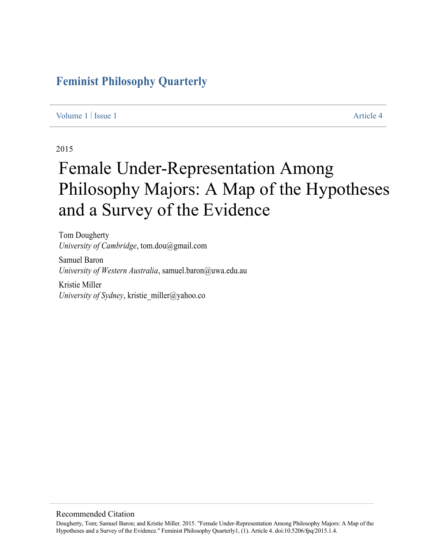## **Feminist Philosophy Quarterly**

#### Volume 1 | Issue 1 Article 4

#### 2015

# Female Under-Representation Among Philosophy Majors: A Map of the Hypotheses and a Survey of the Evidence

Tom Dougherty *University of Cambridge*, tom.dou@gmail.com

Samuel Baron *University of Western Australia*, samuel.baron@uwa.edu.au

Kristie Miller *University of Sydney*, kristie\_miller@yahoo.co

#### Recommended Citation

Dougherty, Tom; Samuel Baron; and Kristie Miller. 2015. "Female Under-Representation Among Philosophy Majors: A Map of the Hypotheses and a Survey of the Evidence." Feminist Philosophy Quarterly1, (1). Article 4. doi:10.5206/fpq/2015.1.4.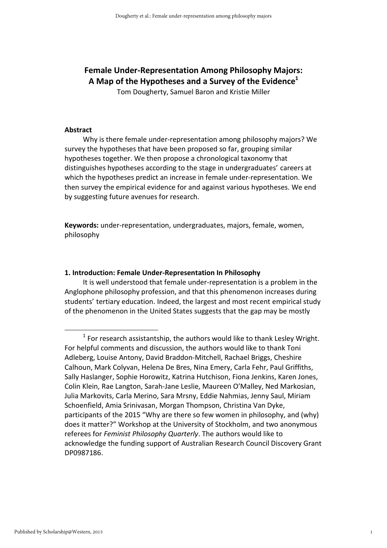### Female Under-Representation Among Philosophy Majors: A Map of the Hypotheses and a Survey of the Evidence<sup>1</sup>

Tom Dougherty, Samuel Baron and Kristie Miller

#### Abstract

 Why is there female under-representation among philosophy majors? We survey the hypotheses that have been proposed so far, grouping similar hypotheses together. We then propose a chronological taxonomy that distinguishes hypotheses according to the stage in undergraduates' careers at which the hypotheses predict an increase in female under-representation. We then survey the empirical evidence for and against various hypotheses. We end by suggesting future avenues for research.

Keywords: under-representation, undergraduates, majors, female, women, philosophy

#### 1. Introduction: Female Under-Representation In Philosophy

It is well understood that female under-representation is a problem in the Anglophone philosophy profession, and that this phenomenon increases during students' tertiary education. Indeed, the largest and most recent empirical study of the phenomenon in the United States suggests that the gap may be mostly

<sup>1</sup>  $1$  For research assistantship, the authors would like to thank Lesley Wright. For helpful comments and discussion, the authors would like to thank Toni Adleberg, Louise Antony, David Braddon-Mitchell, Rachael Briggs, Cheshire Calhoun, Mark Colyvan, Helena De Bres, Nina Emery, Carla Fehr, Paul Griffiths, Sally Haslanger, Sophie Horowitz, Katrina Hutchison, Fiona Jenkins, Karen Jones, Colin Klein, Rae Langton, Sarah-Jane Leslie, Maureen O'Malley, Ned Markosian, Julia Markovits, Carla Merino, Sara Mrsny, Eddie Nahmias, Jenny Saul, Miriam Schoenfield, Amia Srinivasan, Morgan Thompson, Christina Van Dyke, participants of the 2015 "Why are there so few women in philosophy, and (why) does it matter?" Workshop at the University of Stockholm, and two anonymous referees for Feminist Philosophy Quarterly. The authors would like to acknowledge the funding support of Australian Research Council Discovery Grant DP0987186.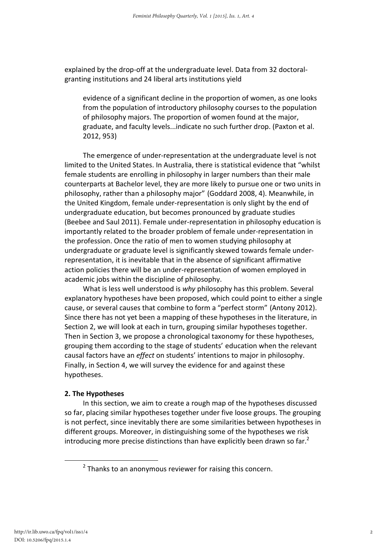explained by the drop-off at the undergraduate level. Data from 32 doctoralgranting institutions and 24 liberal arts institutions yield

evidence of a significant decline in the proportion of women, as one looks from the population of introductory philosophy courses to the population of philosophy majors. The proportion of women found at the major, graduate, and faculty levels...indicate no such further drop. (Paxton et al. 2012, 953)

The emergence of under-representation at the undergraduate level is not limited to the United States. In Australia, there is statistical evidence that "whilst female students are enrolling in philosophy in larger numbers than their male counterparts at Bachelor level, they are more likely to pursue one or two units in philosophy, rather than a philosophy major" (Goddard 2008, 4). Meanwhile, in the United Kingdom, female under-representation is only slight by the end of undergraduate education, but becomes pronounced by graduate studies (Beebee and Saul 2011). Female under-representation in philosophy education is importantly related to the broader problem of female under-representation in the profession. Once the ratio of men to women studying philosophy at undergraduate or graduate level is significantly skewed towards female underrepresentation, it is inevitable that in the absence of significant affirmative action policies there will be an under-representation of women employed in academic jobs within the discipline of philosophy.

What is less well understood is why philosophy has this problem. Several explanatory hypotheses have been proposed, which could point to either a single cause, or several causes that combine to form a "perfect storm" (Antony 2012). Since there has not yet been a mapping of these hypotheses in the literature, in Section 2, we will look at each in turn, grouping similar hypotheses together. Then in Section 3, we propose a chronological taxonomy for these hypotheses, grouping them according to the stage of students' education when the relevant causal factors have an effect on students' intentions to major in philosophy. Finally, in Section 4, we will survey the evidence for and against these hypotheses.

#### 2. The Hypotheses

In this section, we aim to create a rough map of the hypotheses discussed so far, placing similar hypotheses together under five loose groups. The grouping is not perfect, since inevitably there are some similarities between hypotheses in different groups. Moreover, in distinguishing some of the hypotheses we risk introducing more precise distinctions than have explicitly been drawn so far.<sup>2</sup>

<sup>2</sup>  $2$  Thanks to an anonymous reviewer for raising this concern.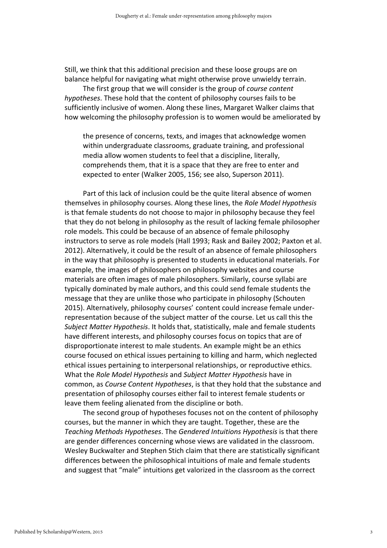Still, we think that this additional precision and these loose groups are on balance helpful for navigating what might otherwise prove unwieldy terrain.

The first group that we will consider is the group of course content hypotheses. These hold that the content of philosophy courses fails to be sufficiently inclusive of women. Along these lines, Margaret Walker claims that how welcoming the philosophy profession is to women would be ameliorated by

the presence of concerns, texts, and images that acknowledge women within undergraduate classrooms, graduate training, and professional media allow women students to feel that a discipline, literally, comprehends them, that it is a space that they are free to enter and expected to enter (Walker 2005, 156; see also, Superson 2011).

Part of this lack of inclusion could be the quite literal absence of women themselves in philosophy courses. Along these lines, the Role Model Hypothesis is that female students do not choose to major in philosophy because they feel that they do not belong in philosophy as the result of lacking female philosopher role models. This could be because of an absence of female philosophy instructors to serve as role models (Hall 1993; Rask and Bailey 2002; Paxton et al. 2012). Alternatively, it could be the result of an absence of female philosophers in the way that philosophy is presented to students in educational materials. For example, the images of philosophers on philosophy websites and course materials are often images of male philosophers. Similarly, course syllabi are typically dominated by male authors, and this could send female students the message that they are unlike those who participate in philosophy (Schouten 2015). Alternatively, philosophy courses' content could increase female underrepresentation because of the subject matter of the course. Let us call this the Subject Matter Hypothesis. It holds that, statistically, male and female students have different interests, and philosophy courses focus on topics that are of disproportionate interest to male students. An example might be an ethics course focused on ethical issues pertaining to killing and harm, which neglected ethical issues pertaining to interpersonal relationships, or reproductive ethics. What the Role Model Hypothesis and Subject Matter Hypothesis have in common, as Course Content Hypotheses, is that they hold that the substance and presentation of philosophy courses either fail to interest female students or leave them feeling alienated from the discipline or both.

The second group of hypotheses focuses not on the content of philosophy courses, but the manner in which they are taught. Together, these are the Teaching Methods Hypotheses. The Gendered Intuitions Hypothesis is that there are gender differences concerning whose views are validated in the classroom. Wesley Buckwalter and Stephen Stich claim that there are statistically significant differences between the philosophical intuitions of male and female students and suggest that "male" intuitions get valorized in the classroom as the correct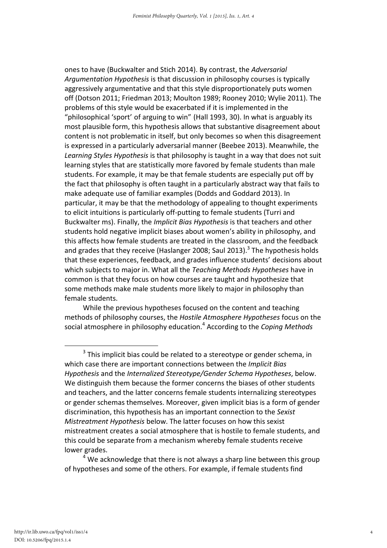ones to have (Buckwalter and Stich 2014). By contrast, the Adversarial Argumentation Hypothesis is that discussion in philosophy courses is typically aggressively argumentative and that this style disproportionately puts women off (Dotson 2011; Friedman 2013; Moulton 1989; Rooney 2010; Wylie 2011). The problems of this style would be exacerbated if it is implemented in the "philosophical 'sport' of arguing to win" (Hall 1993, 30). In what is arguably its most plausible form, this hypothesis allows that substantive disagreement about content is not problematic in itself, but only becomes so when this disagreement is expressed in a particularly adversarial manner (Beebee 2013). Meanwhile, the Learning Styles Hypothesis is that philosophy is taught in a way that does not suit learning styles that are statistically more favored by female students than male students. For example, it may be that female students are especially put off by the fact that philosophy is often taught in a particularly abstract way that fails to make adequate use of familiar examples (Dodds and Goddard 2013). In particular, it may be that the methodology of appealing to thought experiments to elicit intuitions is particularly off-putting to female students (Turri and Buckwalter ms). Finally, the Implicit Bias Hypothesis is that teachers and other students hold negative implicit biases about women's ability in philosophy, and this affects how female students are treated in the classroom, and the feedback and grades that they receive (Haslanger 2008; Saul 2013).<sup>3</sup> The hypothesis holds that these experiences, feedback, and grades influence students' decisions about which subjects to major in. What all the Teaching Methods Hypotheses have in common is that they focus on how courses are taught and hypothesize that some methods make male students more likely to major in philosophy than female students.

While the previous hypotheses focused on the content and teaching methods of philosophy courses, the Hostile Atmosphere Hypotheses focus on the social atmosphere in philosophy education.<sup>4</sup> According to the Coping Methods

4

 $\overline{\phantom{0}}$  3  $3$  This implicit bias could be related to a stereotype or gender schema, in which case there are important connections between the *Implicit Bias* Hypothesis and the Internalized Stereotype/Gender Schema Hypotheses, below. We distinguish them because the former concerns the biases of other students and teachers, and the latter concerns female students internalizing stereotypes or gender schemas themselves. Moreover, given implicit bias is a form of gender discrimination, this hypothesis has an important connection to the Sexist Mistreatment Hypothesis below. The latter focuses on how this sexist mistreatment creates a social atmosphere that is hostile to female students, and this could be separate from a mechanism whereby female students receive lower grades.

 $<sup>4</sup>$  We acknowledge that there is not always a sharp line between this group</sup> of hypotheses and some of the others. For example, if female students find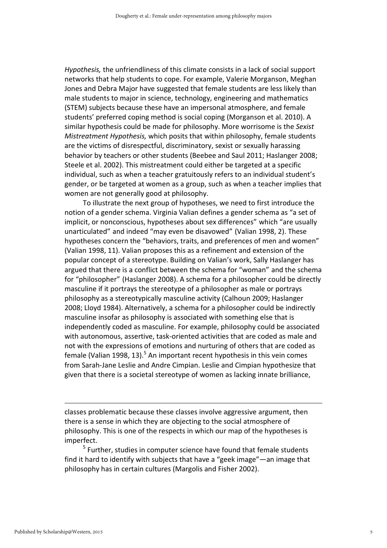Hypothesis, the unfriendliness of this climate consists in a lack of social support networks that help students to cope. For example, Valerie Morganson, Meghan Jones and Debra Major have suggested that female students are less likely than male students to major in science, technology, engineering and mathematics (STEM) subjects because these have an impersonal atmosphere, and female students' preferred coping method is social coping (Morganson et al. 2010). A similar hypothesis could be made for philosophy. More worrisome is the Sexist Mistreatment Hypothesis, which posits that within philosophy, female students are the victims of disrespectful, discriminatory, sexist or sexually harassing behavior by teachers or other students (Beebee and Saul 2011; Haslanger 2008; Steele et al. 2002). This mistreatment could either be targeted at a specific individual, such as when a teacher gratuitously refers to an individual student's gender, or be targeted at women as a group, such as when a teacher implies that women are not generally good at philosophy.

To illustrate the next group of hypotheses, we need to first introduce the notion of a gender schema. Virginia Valian defines a gender schema as "a set of implicit, or nonconscious, hypotheses about sex differences" which "are usually unarticulated" and indeed "may even be disavowed" (Valian 1998, 2). These hypotheses concern the "behaviors, traits, and preferences of men and women" (Valian 1998, 11). Valian proposes this as a refinement and extension of the popular concept of a stereotype. Building on Valian's work, Sally Haslanger has argued that there is a conflict between the schema for "woman" and the schema for "philosopher" (Haslanger 2008). A schema for a philosopher could be directly masculine if it portrays the stereotype of a philosopher as male or portrays philosophy as a stereotypically masculine activity (Calhoun 2009; Haslanger 2008; Lloyd 1984). Alternatively, a schema for a philosopher could be indirectly masculine insofar as philosophy is associated with something else that is independently coded as masculine. For example, philosophy could be associated with autonomous, assertive, task-oriented activities that are coded as male and not with the expressions of emotions and nurturing of others that are coded as female (Valian 1998, 13).<sup>5</sup> An important recent hypothesis in this vein comes from Sarah-Jane Leslie and Andre Cimpian. Leslie and Cimpian hypothesize that given that there is a societal stereotype of women as lacking innate brilliance,

<sup>-</sup> classes problematic because these classes involve aggressive argument, then there is a sense in which they are objecting to the social atmosphere of philosophy. This is one of the respects in which our map of the hypotheses is imperfect.

<sup>5</sup> Further, studies in computer science have found that female students find it hard to identify with subjects that have a "geek image"—an image that philosophy has in certain cultures (Margolis and Fisher 2002).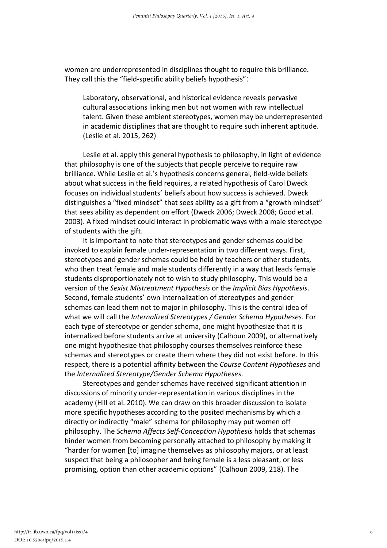women are underrepresented in disciplines thought to require this brilliance. They call this the "field-specific ability beliefs hypothesis":

Laboratory, observational, and historical evidence reveals pervasive cultural associations linking men but not women with raw intellectual talent. Given these ambient stereotypes, women may be underrepresented in academic disciplines that are thought to require such inherent aptitude. (Leslie et al. 2015, 262)

Leslie et al. apply this general hypothesis to philosophy, in light of evidence that philosophy is one of the subjects that people perceive to require raw brilliance. While Leslie et al.'s hypothesis concerns general, field-wide beliefs about what success in the field requires, a related hypothesis of Carol Dweck focuses on individual students' beliefs about how success is achieved. Dweck distinguishes a "fixed mindset" that sees ability as a gift from a "growth mindset" that sees ability as dependent on effort (Dweck 2006; Dweck 2008; Good et al. 2003). A fixed mindset could interact in problematic ways with a male stereotype of students with the gift.

It is important to note that stereotypes and gender schemas could be invoked to explain female under-representation in two different ways. First, stereotypes and gender schemas could be held by teachers or other students, who then treat female and male students differently in a way that leads female students disproportionately not to wish to study philosophy. This would be a version of the Sexist Mistreatment Hypothesis or the Implicit Bias Hypothesis. Second, female students' own internalization of stereotypes and gender schemas can lead them not to major in philosophy. This is the central idea of what we will call the Internalized Stereotypes / Gender Schema Hypotheses. For each type of stereotype or gender schema, one might hypothesize that it is internalized before students arrive at university (Calhoun 2009), or alternatively one might hypothesize that philosophy courses themselves reinforce these schemas and stereotypes or create them where they did not exist before. In this respect, there is a potential affinity between the Course Content Hypotheses and the Internalized Stereotype/Gender Schema Hypotheses.

Stereotypes and gender schemas have received significant attention in discussions of minority under-representation in various disciplines in the academy (Hill et al. 2010). We can draw on this broader discussion to isolate more specific hypotheses according to the posited mechanisms by which a directly or indirectly "male" schema for philosophy may put women off philosophy. The Schema Affects Self-Conception Hypothesis holds that schemas hinder women from becoming personally attached to philosophy by making it "harder for women [to] imagine themselves as philosophy majors, or at least suspect that being a philosopher and being female is a less pleasant, or less promising, option than other academic options" (Calhoun 2009, 218). The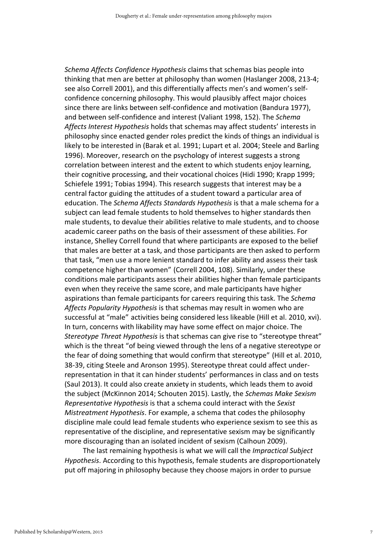Schema Affects Confidence Hypothesis claims that schemas bias people into thinking that men are better at philosophy than women (Haslanger 2008, 213-4; see also Correll 2001), and this differentially affects men's and women's selfconfidence concerning philosophy. This would plausibly affect major choices since there are links between self-confidence and motivation (Bandura 1977), and between self-confidence and interest (Valiant 1998, 152). The Schema Affects Interest Hypothesis holds that schemas may affect students' interests in philosophy since enacted gender roles predict the kinds of things an individual is likely to be interested in (Barak et al. 1991; Lupart et al. 2004; Steele and Barling 1996). Moreover, research on the psychology of interest suggests a strong correlation between interest and the extent to which students enjoy learning, their cognitive processing, and their vocational choices (Hidi 1990; Krapp 1999; Schiefele 1991; Tobias 1994). This research suggests that interest may be a central factor guiding the attitudes of a student toward a particular area of education. The Schema Affects Standards Hypothesis is that a male schema for a subject can lead female students to hold themselves to higher standards then male students, to devalue their abilities relative to male students, and to choose academic career paths on the basis of their assessment of these abilities. For instance, Shelley Correll found that where participants are exposed to the belief that males are better at a task, and those participants are then asked to perform that task, "men use a more lenient standard to infer ability and assess their task competence higher than women" (Correll 2004, 108). Similarly, under these conditions male participants assess their abilities higher than female participants even when they receive the same score, and male participants have higher aspirations than female participants for careers requiring this task. The Schema Affects Popularity Hypothesis is that schemas may result in women who are successful at "male" activities being considered less likeable (Hill et al. 2010, xvi). In turn, concerns with likability may have some effect on major choice. The Stereotype Threat Hypothesis is that schemas can give rise to "stereotype threat" which is the threat "of being viewed through the lens of a negative stereotype or the fear of doing something that would confirm that stereotype" (Hill et al. 2010, 38-39, citing Steele and Aronson 1995). Stereotype threat could affect underrepresentation in that it can hinder students' performances in class and on tests (Saul 2013). It could also create anxiety in students, which leads them to avoid the subject (McKinnon 2014; Schouten 2015). Lastly, the Schemas Make Sexism Representative Hypothesis is that a schema could interact with the Sexist Mistreatment Hypothesis. For example, a schema that codes the philosophy discipline male could lead female students who experience sexism to see this as representative of the discipline, and representative sexism may be significantly more discouraging than an isolated incident of sexism (Calhoun 2009).

The last remaining hypothesis is what we will call the Impractical Subject Hypothesis. According to this hypothesis, female students are disproportionately put off majoring in philosophy because they choose majors in order to pursue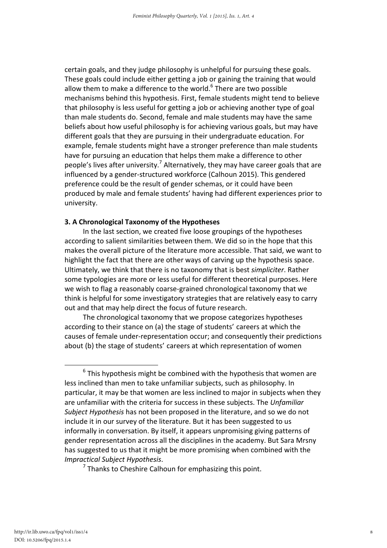certain goals, and they judge philosophy is unhelpful for pursuing these goals. These goals could include either getting a job or gaining the training that would allow them to make a difference to the world.<sup>6</sup> There are two possible mechanisms behind this hypothesis. First, female students might tend to believe that philosophy is less useful for getting a job or achieving another type of goal than male students do. Second, female and male students may have the same beliefs about how useful philosophy is for achieving various goals, but may have different goals that they are pursuing in their undergraduate education. For example, female students might have a stronger preference than male students have for pursuing an education that helps them make a difference to other people's lives after university.<sup>7</sup> Alternatively, they may have career goals that are influenced by a gender-structured workforce (Calhoun 2015). This gendered preference could be the result of gender schemas, or it could have been produced by male and female students' having had different experiences prior to university.

#### 3. A Chronological Taxonomy of the Hypotheses

In the last section, we created five loose groupings of the hypotheses according to salient similarities between them. We did so in the hope that this makes the overall picture of the literature more accessible. That said, we want to highlight the fact that there are other ways of carving up the hypothesis space. Ultimately, we think that there is no taxonomy that is best simpliciter. Rather some typologies are more or less useful for different theoretical purposes. Here we wish to flag a reasonably coarse-grained chronological taxonomy that we think is helpful for some investigatory strategies that are relatively easy to carry out and that may help direct the focus of future research.

The chronological taxonomy that we propose categorizes hypotheses according to their stance on (a) the stage of students' careers at which the causes of female under-representation occur; and consequently their predictions about (b) the stage of students' careers at which representation of women

<sup>6</sup>  $6$  This hypothesis might be combined with the hypothesis that women are less inclined than men to take unfamiliar subjects, such as philosophy. In particular, it may be that women are less inclined to major in subjects when they are unfamiliar with the criteria for success in these subjects. The Unfamiliar Subject Hypothesis has not been proposed in the literature, and so we do not include it in our survey of the literature. But it has been suggested to us informally in conversation. By itself, it appears unpromising giving patterns of gender representation across all the disciplines in the academy. But Sara Mrsny has suggested to us that it might be more promising when combined with the Impractical Subject Hypothesis. 7

 $7$  Thanks to Cheshire Calhoun for emphasizing this point.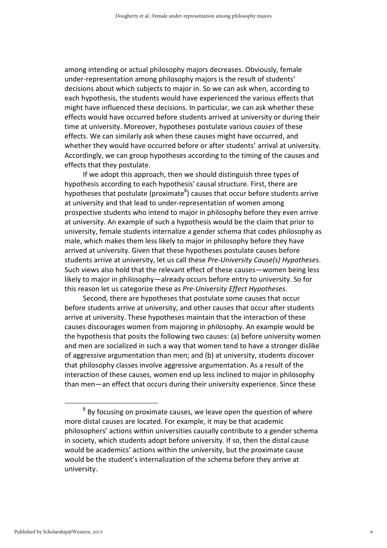among intending or actual philosophy majors decreases. Obviously, female under-representation among philosophy majors is the result of students' decisions about which subjects to major in. So we can ask when, according to each hypothesis, the students would have experienced the various effects that might have influenced these decisions. In particular, we can ask whether these effects would have occurred before students arrived at university or during their time at university. Moreover, hypotheses postulate various causes of these effects. We can similarly ask when these causes might have occurred, and whether they would have occurred before or after students' arrival at university. Accordingly, we can group hypotheses according to the timing of the causes and effects that they postulate.

If we adopt this approach, then we should distinguish three types of hypothesis according to each hypothesis' causal structure. First, there are hypotheses that postulate (proximate<sup>8</sup>) causes that occur before students arrive at university and that lead to under-representation of women among prospective students who intend to major in philosophy before they even arrive at university. An example of such a hypothesis would be the claim that prior to university, female students internalize a gender schema that codes philosophy as male, which makes them less likely to major in philosophy before they have arrived at university. Given that these hypotheses postulate causes before students arrive at university, let us call these Pre-University Cause(s) Hypotheses. Such views also hold that the relevant effect of these causes—women being less likely to major in philosophy—already occurs before entry to university. So for this reason let us categorize these as Pre-University Effect Hypotheses.

Second, there are hypotheses that postulate some causes that occur before students arrive at university, and other causes that occur after students arrive at university. These hypotheses maintain that the interaction of these causes discourages women from majoring in philosophy. An example would be the hypothesis that posits the following two causes: (a) before university women and men are socialized in such a way that women tend to have a stronger dislike of aggressive argumentation than men; and (b) at university, students discover that philosophy classes involve aggressive argumentation. As a result of the interaction of these causes, women end up less inclined to major in philosophy than men—an effect that occurs during their university experience. Since these

<sup>8</sup>  $8$  By focusing on proximate causes, we leave open the question of where more distal causes are located. For example, it may be that academic philosophers' actions within universities causally contribute to a gender schema in society, which students adopt before university. If so, then the distal cause would be academics' actions within the university, but the proximate cause would be the student's internalization of the schema before they arrive at university.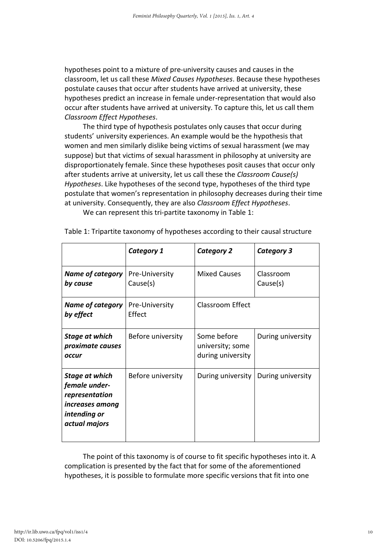hypotheses point to a mixture of pre-university causes and causes in the classroom, let us call these Mixed Causes Hypotheses. Because these hypotheses postulate causes that occur after students have arrived at university, these hypotheses predict an increase in female under-representation that would also occur after students have arrived at university. To capture this, let us call them Classroom Effect Hypotheses.

The third type of hypothesis postulates only causes that occur during students' university experiences. An example would be the hypothesis that women and men similarly dislike being victims of sexual harassment (we may suppose) but that victims of sexual harassment in philosophy at university are disproportionately female. Since these hypotheses posit causes that occur only after students arrive at university, let us call these the Classroom Cause(s) Hypotheses. Like hypotheses of the second type, hypotheses of the third type postulate that women's representation in philosophy decreases during their time at university. Consequently, they are also Classroom Effect Hypotheses.

We can represent this tri-partite taxonomy in Table 1:

|                                                                                                              | Category 1                 | <b>Category 2</b>                                    | Category 3            |
|--------------------------------------------------------------------------------------------------------------|----------------------------|------------------------------------------------------|-----------------------|
| <b>Name of category</b><br>by cause                                                                          | Pre-University<br>Cause(s) | <b>Mixed Causes</b>                                  | Classroom<br>Cause(s) |
| <b>Name of category</b><br>by effect                                                                         | Pre-University<br>Effect   | <b>Classroom Effect</b>                              |                       |
| Stage at which<br>proximate causes<br>occur                                                                  | Before university          | Some before<br>university; some<br>during university | During university     |
| <b>Stage at which</b><br>female under-<br>representation<br>increases among<br>intending or<br>actual majors | Before university          | During university                                    | During university     |

Table 1: Tripartite taxonomy of hypotheses according to their causal structure

The point of this taxonomy is of course to fit specific hypotheses into it. A complication is presented by the fact that for some of the aforementioned hypotheses, it is possible to formulate more specific versions that fit into one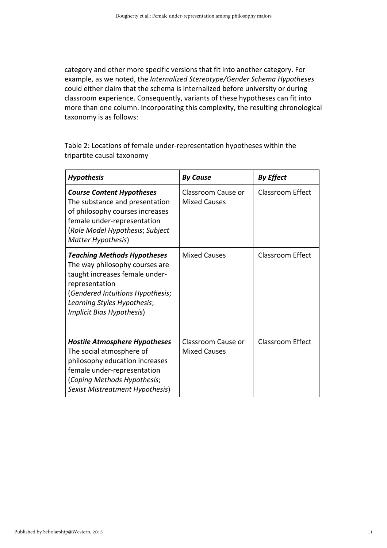category and other more specific versions that fit into another category. For example, as we noted, the Internalized Stereotype/Gender Schema Hypotheses could either claim that the schema is internalized before university or during classroom experience. Consequently, variants of these hypotheses can fit into more than one column. Incorporating this complexity, the resulting chronological taxonomy is as follows:

Table 2: Locations of female under-representation hypotheses within the tripartite causal taxonomy

| <b>Hypothesis</b>                                                                                                                                                                                                        | <b>By Cause</b>                           | <b>By Effect</b>        |
|--------------------------------------------------------------------------------------------------------------------------------------------------------------------------------------------------------------------------|-------------------------------------------|-------------------------|
| <b>Course Content Hypotheses</b><br>The substance and presentation<br>of philosophy courses increases<br>female under-representation<br>(Role Model Hypothesis; Subject<br>Matter Hypothesis)                            | Classroom Cause or<br><b>Mixed Causes</b> | <b>Classroom Effect</b> |
| <b>Teaching Methods Hypotheses</b><br>The way philosophy courses are<br>taught increases female under-<br>representation<br>(Gendered Intuitions Hypothesis;<br>Learning Styles Hypothesis;<br>Implicit Bias Hypothesis) | <b>Mixed Causes</b>                       | <b>Classroom Effect</b> |
| <b>Hostile Atmosphere Hypotheses</b><br>The social atmosphere of<br>philosophy education increases<br>female under-representation<br>(Coping Methods Hypothesis;<br>Sexist Mistreatment Hypothesis)                      | Classroom Cause or<br><b>Mixed Causes</b> | <b>Classroom Effect</b> |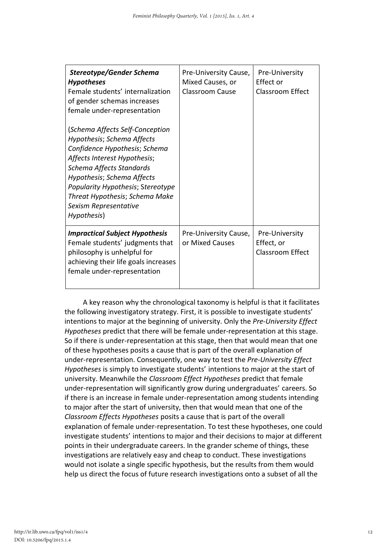| Stereotype/Gender Schema<br><b>Hypotheses</b><br>Female students' internalization<br>of gender schemas increases<br>female under-representation<br>(Schema Affects Self-Conception<br>Hypothesis; Schema Affects<br>Confidence Hypothesis; Schema<br>Affects Interest Hypothesis;<br>Schema Affects Standards<br>Hypothesis; Schema Affects<br>Popularity Hypothesis; Stereotype<br>Threat Hypothesis; Schema Make<br>Sexism Representative<br>Hypothesis) | Pre-University Cause,<br>Mixed Causes, or<br>Classroom Cause | Pre-University<br>Effect or<br>Classroom Effect         |
|------------------------------------------------------------------------------------------------------------------------------------------------------------------------------------------------------------------------------------------------------------------------------------------------------------------------------------------------------------------------------------------------------------------------------------------------------------|--------------------------------------------------------------|---------------------------------------------------------|
| <b>Impractical Subject Hypothesis</b><br>Female students' judgments that<br>philosophy is unhelpful for<br>achieving their life goals increases<br>female under-representation                                                                                                                                                                                                                                                                             | Pre-University Cause,<br>or Mixed Causes                     | Pre-University<br>Effect, or<br><b>Classroom Effect</b> |

A key reason why the chronological taxonomy is helpful is that it facilitates the following investigatory strategy. First, it is possible to investigate students' intentions to major at the beginning of university. Only the Pre-University Effect Hypotheses predict that there will be female under-representation at this stage. So if there is under-representation at this stage, then that would mean that one of these hypotheses posits a cause that is part of the overall explanation of under-representation. Consequently, one way to test the Pre-University Effect Hypotheses is simply to investigate students' intentions to major at the start of university. Meanwhile the Classroom Effect Hypotheses predict that female under-representation will significantly grow during undergraduates' careers. So if there is an increase in female under-representation among students intending to major after the start of university, then that would mean that one of the Classroom Effects Hypotheses posits a cause that is part of the overall explanation of female under-representation. To test these hypotheses, one could investigate students' intentions to major and their decisions to major at different points in their undergraduate careers. In the grander scheme of things, these investigations are relatively easy and cheap to conduct. These investigations would not isolate a single specific hypothesis, but the results from them would help us direct the focus of future research investigations onto a subset of all the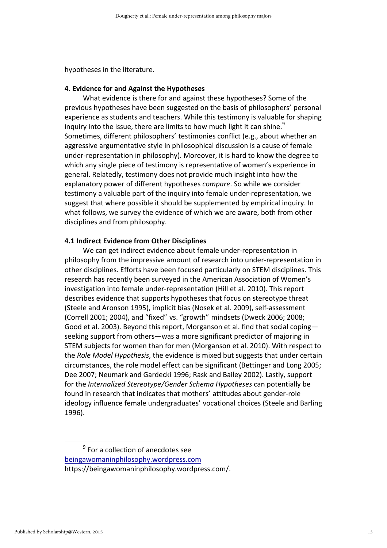hypotheses in the literature.

#### 4. Evidence for and Against the Hypotheses

What evidence is there for and against these hypotheses? Some of the previous hypotheses have been suggested on the basis of philosophers' personal experience as students and teachers. While this testimony is valuable for shaping inquiry into the issue, there are limits to how much light it can shine. $9$ Sometimes, different philosophers' testimonies conflict (e.g., about whether an aggressive argumentative style in philosophical discussion is a cause of female under-representation in philosophy). Moreover, it is hard to know the degree to which any single piece of testimony is representative of women's experience in general. Relatedly, testimony does not provide much insight into how the explanatory power of different hypotheses compare. So while we consider testimony a valuable part of the inquiry into female under-representation, we suggest that where possible it should be supplemented by empirical inquiry. In what follows, we survey the evidence of which we are aware, both from other disciplines and from philosophy.

#### 4.1 Indirect Evidence from Other Disciplines

We can get indirect evidence about female under-representation in philosophy from the impressive amount of research into under-representation in other disciplines. Efforts have been focused particularly on STEM disciplines. This research has recently been surveyed in the American Association of Women's investigation into female under-representation (Hill et al. 2010). This report describes evidence that supports hypotheses that focus on stereotype threat (Steele and Aronson 1995), implicit bias (Nosek et al. 2009), self-assessment (Correll 2001; 2004), and "fixed" vs. "growth" mindsets (Dweck 2006; 2008; Good et al. 2003). Beyond this report, Morganson et al. find that social coping seeking support from others—was a more significant predictor of majoring in STEM subjects for women than for men (Morganson et al. 2010). With respect to the Role Model Hypothesis, the evidence is mixed but suggests that under certain circumstances, the role model effect can be significant (Bettinger and Long 2005; Dee 2007; Neumark and Gardecki 1996; Rask and Bailey 2002). Lastly, support for the Internalized Stereotype/Gender Schema Hypotheses can potentially be found in research that indicates that mothers' attitudes about gender-role ideology influence female undergraduates' vocational choices (Steele and Barling 1996).

 $\overline{9}$  $9$  For a collection of anecdotes see beingawomaninphilosophy.wordpress.com https://beingawomaninphilosophy.wordpress.com/.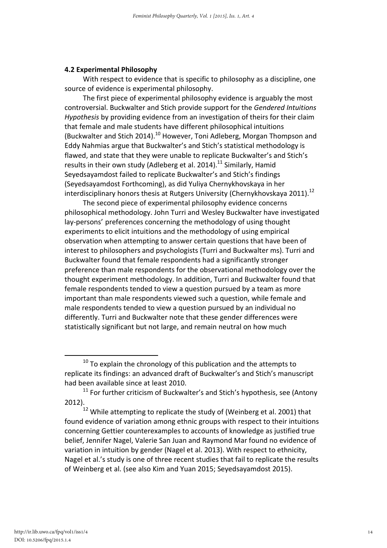#### 4.2 Experimental Philosophy

With respect to evidence that is specific to philosophy as a discipline, one source of evidence is experimental philosophy.

The first piece of experimental philosophy evidence is arguably the most controversial. Buckwalter and Stich provide support for the Gendered Intuitions Hypothesis by providing evidence from an investigation of theirs for their claim that female and male students have different philosophical intuitions (Buckwalter and Stich 2014).<sup>10</sup> However, Toni Adleberg, Morgan Thompson and Eddy Nahmias argue that Buckwalter's and Stich's statistical methodology is flawed, and state that they were unable to replicate Buckwalter's and Stich's results in their own study (Adleberg et al. 2014).<sup>11</sup> Similarly, Hamid Seyedsayamdost failed to replicate Buckwalter's and Stich's findings (Seyedsayamdost Forthcoming), as did Yuliya Chernykhovskaya in her interdisciplinary honors thesis at Rutgers University (Chernykhovskaya 2011).<sup>12</sup>

The second piece of experimental philosophy evidence concerns philosophical methodology. John Turri and Wesley Buckwalter have investigated lay-persons' preferences concerning the methodology of using thought experiments to elicit intuitions and the methodology of using empirical observation when attempting to answer certain questions that have been of interest to philosophers and psychologists (Turri and Buckwalter ms). Turri and Buckwalter found that female respondents had a significantly stronger preference than male respondents for the observational methodology over the thought experiment methodology. In addition, Turri and Buckwalter found that female respondents tended to view a question pursued by a team as more important than male respondents viewed such a question, while female and male respondents tended to view a question pursued by an individual no differently. Turri and Buckwalter note that these gender differences were statistically significant but not large, and remain neutral on how much

 $10$  To explain the chronology of this publication and the attempts to replicate its findings: an advanced draft of Buckwalter's and Stich's manuscript had been available since at least 2010.

 $11$  For further criticism of Buckwalter's and Stich's hypothesis, see (Antony 2012).

 $12$  While attempting to replicate the study of (Weinberg et al. 2001) that found evidence of variation among ethnic groups with respect to their intuitions concerning Gettier counterexamples to accounts of knowledge as justified true belief, Jennifer Nagel, Valerie San Juan and Raymond Mar found no evidence of variation in intuition by gender (Nagel et al. 2013). With respect to ethnicity, Nagel et al.'s study is one of three recent studies that fail to replicate the results of Weinberg et al. (see also Kim and Yuan 2015; Seyedsayamdost 2015).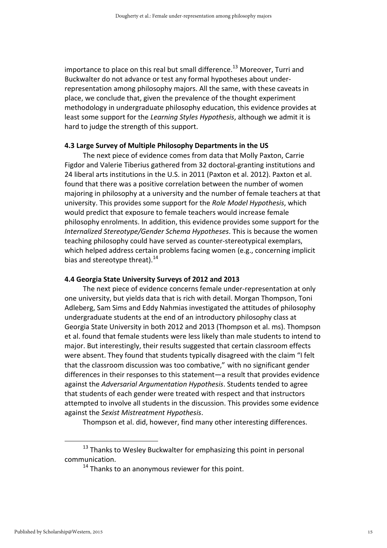importance to place on this real but small difference.<sup>13</sup> Moreover, Turri and Buckwalter do not advance or test any formal hypotheses about underrepresentation among philosophy majors. All the same, with these caveats in place, we conclude that, given the prevalence of the thought experiment methodology in undergraduate philosophy education, this evidence provides at least some support for the Learning Styles Hypothesis, although we admit it is hard to judge the strength of this support.

#### 4.3 Large Survey of Multiple Philosophy Departments in the US

The next piece of evidence comes from data that Molly Paxton, Carrie Figdor and Valerie Tiberius gathered from 32 doctoral-granting institutions and 24 liberal arts institutions in the U.S. in 2011 (Paxton et al. 2012). Paxton et al. found that there was a positive correlation between the number of women majoring in philosophy at a university and the number of female teachers at that university. This provides some support for the Role Model Hypothesis, which would predict that exposure to female teachers would increase female philosophy enrolments. In addition, this evidence provides some support for the Internalized Stereotype/Gender Schema Hypotheses. This is because the women teaching philosophy could have served as counter-stereotypical exemplars, which helped address certain problems facing women (e.g., concerning implicit bias and stereotype threat). $^{14}$ 

#### 4.4 Georgia State University Surveys of 2012 and 2013

The next piece of evidence concerns female under-representation at only one university, but yields data that is rich with detail. Morgan Thompson, Toni Adleberg, Sam Sims and Eddy Nahmias investigated the attitudes of philosophy undergraduate students at the end of an introductory philosophy class at Georgia State University in both 2012 and 2013 (Thompson et al. ms). Thompson et al. found that female students were less likely than male students to intend to major. But interestingly, their results suggested that certain classroom effects were absent. They found that students typically disagreed with the claim "I felt that the classroom discussion was too combative," with no significant gender differences in their responses to this statement—a result that provides evidence against the Adversarial Argumentation Hypothesis. Students tended to agree that students of each gender were treated with respect and that instructors attempted to involve all students in the discussion. This provides some evidence against the Sexist Mistreatment Hypothesis.

Thompson et al. did, however, find many other interesting differences.

 $13$  Thanks to Wesley Buckwalter for emphasizing this point in personal communication.

 $14$  Thanks to an anonymous reviewer for this point.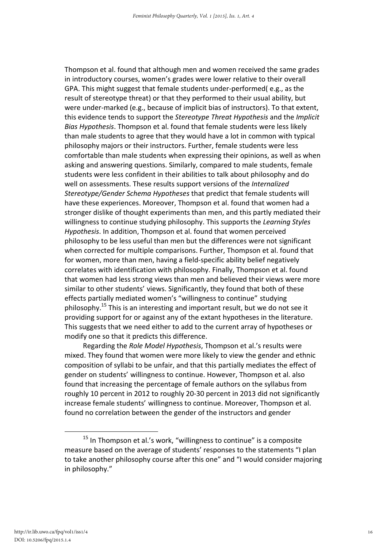Thompson et al. found that although men and women received the same grades in introductory courses, women's grades were lower relative to their overall GPA. This might suggest that female students under-performed( e.g., as the result of stereotype threat) or that they performed to their usual ability, but were under-marked (e.g., because of implicit bias of instructors). To that extent, this evidence tends to support the Stereotype Threat Hypothesis and the Implicit Bias Hypothesis. Thompson et al. found that female students were less likely than male students to agree that they would have a lot in common with typical philosophy majors or their instructors. Further, female students were less comfortable than male students when expressing their opinions, as well as when asking and answering questions. Similarly, compared to male students, female students were less confident in their abilities to talk about philosophy and do well on assessments. These results support versions of the Internalized Stereotype/Gender Schema Hypotheses that predict that female students will have these experiences. Moreover, Thompson et al. found that women had a stronger dislike of thought experiments than men, and this partly mediated their willingness to continue studying philosophy. This supports the Learning Styles Hypothesis. In addition, Thompson et al. found that women perceived philosophy to be less useful than men but the differences were not significant when corrected for multiple comparisons. Further, Thompson et al. found that for women, more than men, having a field-specific ability belief negatively correlates with identification with philosophy. Finally, Thompson et al. found that women had less strong views than men and believed their views were more similar to other students' views. Significantly, they found that both of these effects partially mediated women's "willingness to continue" studying philosophy.<sup>15</sup> This is an interesting and important result, but we do not see it providing support for or against any of the extant hypotheses in the literature. This suggests that we need either to add to the current array of hypotheses or modify one so that it predicts this difference.

Regarding the Role Model Hypothesis, Thompson et al.'s results were mixed. They found that women were more likely to view the gender and ethnic composition of syllabi to be unfair, and that this partially mediates the effect of gender on students' willingness to continue. However, Thompson et al. also found that increasing the percentage of female authors on the syllabus from roughly 10 percent in 2012 to roughly 20-30 percent in 2013 did not significantly increase female students' willingness to continue. Moreover, Thompson et al. found no correlation between the gender of the instructors and gender

<sup>&</sup>lt;sup>15</sup> In Thompson et al.'s work, "willingness to continue" is a composite measure based on the average of students' responses to the statements "I plan to take another philosophy course after this one" and "I would consider majoring in philosophy."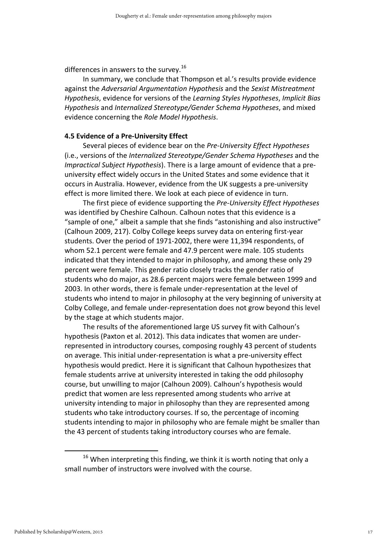differences in answers to the survey.<sup>16</sup>

In summary, we conclude that Thompson et al.'s results provide evidence against the Adversarial Argumentation Hypothesis and the Sexist Mistreatment Hypothesis, evidence for versions of the Learning Styles Hypotheses, Implicit Bias Hypothesis and Internalized Stereotype/Gender Schema Hypotheses, and mixed evidence concerning the Role Model Hypothesis.

#### 4.5 Evidence of a Pre-University Effect

Several pieces of evidence bear on the Pre-University Effect Hypotheses (i.e., versions of the Internalized Stereotype/Gender Schema Hypotheses and the Impractical Subject Hypothesis). There is a large amount of evidence that a preuniversity effect widely occurs in the United States and some evidence that it occurs in Australia. However, evidence from the UK suggests a pre-university effect is more limited there. We look at each piece of evidence in turn.

The first piece of evidence supporting the Pre-University Effect Hypotheses was identified by Cheshire Calhoun. Calhoun notes that this evidence is a "sample of one," albeit a sample that she finds "astonishing and also instructive" (Calhoun 2009, 217). Colby College keeps survey data on entering first-year students. Over the period of 1971-2002, there were 11,394 respondents, of whom 52.1 percent were female and 47.9 percent were male. 105 students indicated that they intended to major in philosophy, and among these only 29 percent were female. This gender ratio closely tracks the gender ratio of students who do major, as 28.6 percent majors were female between 1999 and 2003. In other words, there is female under-representation at the level of students who intend to major in philosophy at the very beginning of university at Colby College, and female under-representation does not grow beyond this level by the stage at which students major.

The results of the aforementioned large US survey fit with Calhoun's hypothesis (Paxton et al. 2012). This data indicates that women are underrepresented in introductory courses, composing roughly 43 percent of students on average. This initial under-representation is what a pre-university effect hypothesis would predict. Here it is significant that Calhoun hypothesizes that female students arrive at university interested in taking the odd philosophy course, but unwilling to major (Calhoun 2009). Calhoun's hypothesis would predict that women are less represented among students who arrive at university intending to major in philosophy than they are represented among students who take introductory courses. If so, the percentage of incoming students intending to major in philosophy who are female might be smaller than the 43 percent of students taking introductory courses who are female.

 $16$  When interpreting this finding, we think it is worth noting that only a small number of instructors were involved with the course.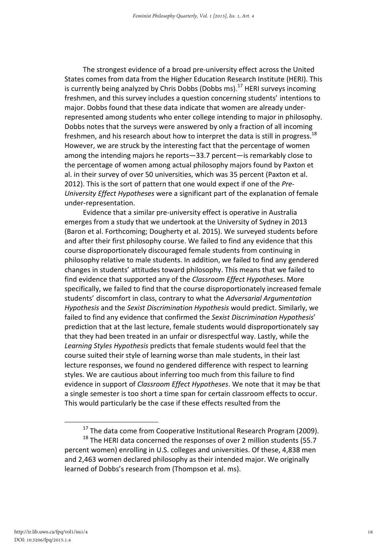The strongest evidence of a broad pre-university effect across the United States comes from data from the Higher Education Research Institute (HERI). This is currently being analyzed by Chris Dobbs (Dobbs ms).<sup>17</sup> HERI surveys incoming freshmen, and this survey includes a question concerning students' intentions to major. Dobbs found that these data indicate that women are already underrepresented among students who enter college intending to major in philosophy. Dobbs notes that the surveys were answered by only a fraction of all incoming freshmen, and his research about how to interpret the data is still in progress.<sup>18</sup> However, we are struck by the interesting fact that the percentage of women among the intending majors he reports—33.7 percent—is remarkably close to the percentage of women among actual philosophy majors found by Paxton et al. in their survey of over 50 universities, which was 35 percent (Paxton et al. 2012). This is the sort of pattern that one would expect if one of the Pre-University Effect Hypotheses were a significant part of the explanation of female under-representation.

Evidence that a similar pre-university effect is operative in Australia emerges from a study that we undertook at the University of Sydney in 2013 (Baron et al. Forthcoming; Dougherty et al. 2015). We surveyed students before and after their first philosophy course. We failed to find any evidence that this course disproportionately discouraged female students from continuing in philosophy relative to male students. In addition, we failed to find any gendered changes in students' attitudes toward philosophy. This means that we failed to find evidence that supported any of the Classroom Effect Hypotheses. More specifically, we failed to find that the course disproportionately increased female students' discomfort in class, contrary to what the Adversarial Argumentation Hypothesis and the Sexist Discrimination Hypothesis would predict. Similarly, we failed to find any evidence that confirmed the Sexist Discrimination Hypothesis' prediction that at the last lecture, female students would disproportionately say that they had been treated in an unfair or disrespectful way. Lastly, while the Learning Styles Hypothesis predicts that female students would feel that the course suited their style of learning worse than male students, in their last lecture responses, we found no gendered difference with respect to learning styles. We are cautious about inferring too much from this failure to find evidence in support of *Classroom Effect Hypotheses*. We note that it may be that a single semester is too short a time span for certain classroom effects to occur. This would particularly be the case if these effects resulted from the

<sup>&</sup>lt;sup>17</sup> The data come from Cooperative Institutional Research Program (2009).

<sup>&</sup>lt;sup>18</sup> The HERI data concerned the responses of over 2 million students (55.7 percent women) enrolling in U.S. colleges and universities. Of these, 4,838 men and 2,463 women declared philosophy as their intended major. We originally learned of Dobbs's research from (Thompson et al. ms).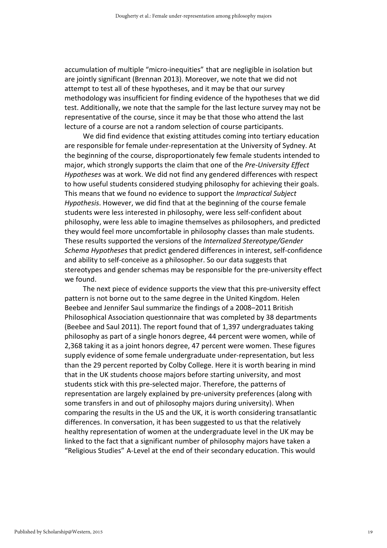accumulation of multiple "micro-inequities" that are negligible in isolation but are jointly significant (Brennan 2013). Moreover, we note that we did not attempt to test all of these hypotheses, and it may be that our survey methodology was insufficient for finding evidence of the hypotheses that we did test. Additionally, we note that the sample for the last lecture survey may not be representative of the course, since it may be that those who attend the last lecture of a course are not a random selection of course participants.

We did find evidence that existing attitudes coming into tertiary education are responsible for female under-representation at the University of Sydney. At the beginning of the course, disproportionately few female students intended to major, which strongly supports the claim that one of the Pre-University Effect Hypotheses was at work. We did not find any gendered differences with respect to how useful students considered studying philosophy for achieving their goals. This means that we found no evidence to support the Impractical Subject Hypothesis. However, we did find that at the beginning of the course female students were less interested in philosophy, were less self-confident about philosophy, were less able to imagine themselves as philosophers, and predicted they would feel more uncomfortable in philosophy classes than male students. These results supported the versions of the Internalized Stereotype/Gender Schema Hypotheses that predict gendered differences in interest, self-confidence and ability to self-conceive as a philosopher. So our data suggests that stereotypes and gender schemas may be responsible for the pre-university effect we found.

The next piece of evidence supports the view that this pre-university effect pattern is not borne out to the same degree in the United Kingdom. Helen Beebee and Jennifer Saul summarize the findings of a 2008–2011 British Philosophical Association questionnaire that was completed by 38 departments (Beebee and Saul 2011). The report found that of 1,397 undergraduates taking philosophy as part of a single honors degree, 44 percent were women, while of 2,368 taking it as a joint honors degree, 47 percent were women. These figures supply evidence of some female undergraduate under-representation, but less than the 29 percent reported by Colby College. Here it is worth bearing in mind that in the UK students choose majors before starting university, and most students stick with this pre-selected major. Therefore, the patterns of representation are largely explained by pre-university preferences (along with some transfers in and out of philosophy majors during university). When comparing the results in the US and the UK, it is worth considering transatlantic differences. In conversation, it has been suggested to us that the relatively healthy representation of women at the undergraduate level in the UK may be linked to the fact that a significant number of philosophy majors have taken a "Religious Studies" A-Level at the end of their secondary education. This would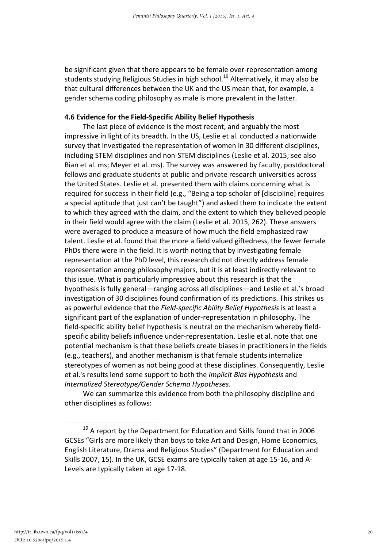be significant given that there appears to be female over-representation among students studying Religious Studies in high school.<sup>19</sup> Alternatively, it may also be that cultural differences between the UK and the US mean that, for example, a gender schema coding philosophy as male is more prevalent in the latter.

#### 4.6 Evidence for the Field-Specific Ability Belief Hypothesis

The last piece of evidence is the most recent, and arguably the most impressive in light of its breadth. In the US, Leslie et al. conducted a nationwide survey that investigated the representation of women in 30 different disciplines, including STEM disciplines and non-STEM disciplines (Leslie et al. 2015; see also Bian et al. ms; Meyer et al. ms). The survey was answered by faculty, postdoctoral fellows and graduate students at public and private research universities across the United States. Leslie et al. presented them with claims concerning what is required for success in their field (e.g., "Being a top scholar of [discipline] requires a special aptitude that just can't be taught") and asked them to indicate the extent to which they agreed with the claim, and the extent to which they believed people in their field would agree with the claim (Leslie et al. 2015, 262). These answers were averaged to produce a measure of how much the field emphasized raw talent. Leslie et al. found that the more a field valued giftedness, the fewer female PhDs there were in the field. It is worth noting that by investigating female representation at the PhD level, this research did not directly address female representation among philosophy majors, but it is at least indirectly relevant to this issue. What is particularly impressive about this research is that the hypothesis is fully general—ranging across all disciplines—and Leslie et al.'s broad investigation of 30 disciplines found confirmation of its predictions. This strikes us as powerful evidence that the Field-specific Ability Belief Hypothesis is at least a significant part of the explanation of under-representation in philosophy. The field-specific ability belief hypothesis is neutral on the mechanism whereby fieldspecific ability beliefs influence under-representation. Leslie et al. note that one potential mechanism is that these beliefs create biases in practitioners in the fields (e.g., teachers), and another mechanism is that female students internalize stereotypes of women as not being good at these disciplines. Consequently, Leslie et al.'s results lend some support to both the Implicit Bias Hypothesis and Internalized Stereotype/Gender Schema Hypotheses.

We can summarize this evidence from both the philosophy discipline and other disciplines as follows:

 $19$  A report by the Department for Education and Skills found that in 2006 GCSEs "Girls are more likely than boys to take Art and Design, Home Economics, English Literature, Drama and Religious Studies" (Department for Education and Skills 2007, 15). In the UK, GCSE exams are typically taken at age 15-16, and A-Levels are typically taken at age 17-18.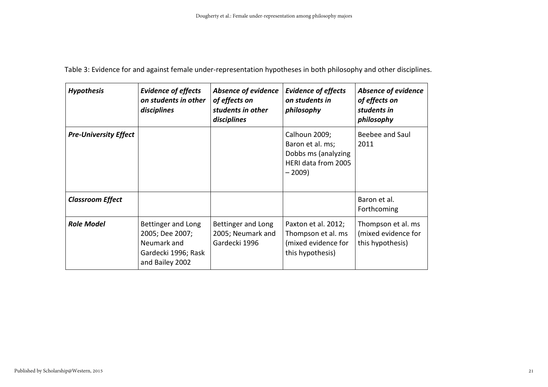| <b>Hypothesis</b>            | <b>Evidence of effects</b><br>on students in other<br>disciplines                              | <b>Absence of evidence</b><br>of effects on<br>students in other<br>disciplines | <b>Evidence of effects</b><br>on students in<br>philosophy                                 | <b>Absence of evidence</b><br>of effects on<br>students in<br>philosophy |
|------------------------------|------------------------------------------------------------------------------------------------|---------------------------------------------------------------------------------|--------------------------------------------------------------------------------------------|--------------------------------------------------------------------------|
| <b>Pre-University Effect</b> |                                                                                                |                                                                                 | Calhoun 2009;<br>Baron et al. ms;<br>Dobbs ms (analyzing<br>HERI data from 2005<br>$-2009$ | Beebee and Saul<br>2011                                                  |
| <b>Classroom Effect</b>      |                                                                                                |                                                                                 |                                                                                            | Baron et al.<br>Forthcoming                                              |
| <b>Role Model</b>            | Bettinger and Long<br>2005; Dee 2007;<br>Neumark and<br>Gardecki 1996; Rask<br>and Bailey 2002 | Bettinger and Long<br>2005; Neumark and<br>Gardecki 1996                        | Paxton et al. 2012;<br>Thompson et al. ms<br>(mixed evidence for<br>this hypothesis)       | Thompson et al. ms<br>(mixed evidence for<br>this hypothesis)            |

Table 3: Evidence for and against female under-representation hypotheses in both philosophy and other disciplines.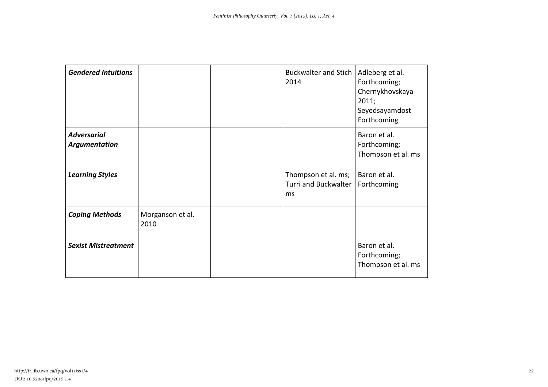| <b>Gendered Intuitions</b>          |                          | <b>Buckwalter and Stich</b><br>2014               | Adleberg et al.<br>Forthcoming;<br>Chernykhovskaya<br>2011;<br>Seyedsayamdost<br>Forthcoming |
|-------------------------------------|--------------------------|---------------------------------------------------|----------------------------------------------------------------------------------------------|
| <b>Adversarial</b><br>Argumentation |                          |                                                   | Baron et al.<br>Forthcoming;<br>Thompson et al. ms                                           |
| <b>Learning Styles</b>              |                          | Thompson et al. ms;<br>Turri and Buckwalter<br>ms | Baron et al.<br>Forthcoming                                                                  |
| <b>Coping Methods</b>               | Morganson et al.<br>2010 |                                                   |                                                                                              |
| <b>Sexist Mistreatment</b>          |                          |                                                   | Baron et al.<br>Forthcoming;<br>Thompson et al. ms                                           |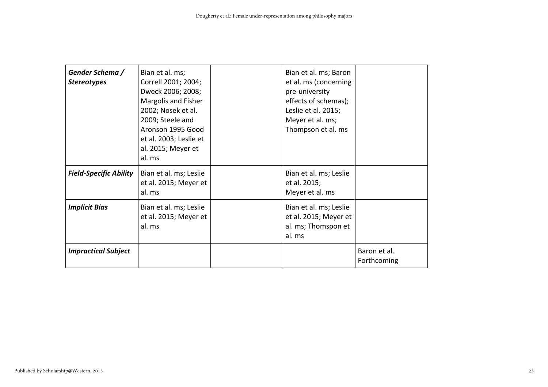| Gender Schema /<br><b>Stereotypes</b> | Bian et al. ms;<br>Correll 2001; 2004;<br>Dweck 2006; 2008;<br>Margolis and Fisher<br>2002; Nosek et al.<br>2009; Steele and<br>Aronson 1995 Good<br>et al. 2003; Leslie et<br>al. 2015; Meyer et<br>al. ms | Bian et al. ms; Baron<br>et al. ms (concerning<br>pre-university<br>effects of schemas);<br>Leslie et al. 2015;<br>Meyer et al. ms;<br>Thompson et al. ms |                             |
|---------------------------------------|-------------------------------------------------------------------------------------------------------------------------------------------------------------------------------------------------------------|-----------------------------------------------------------------------------------------------------------------------------------------------------------|-----------------------------|
| <b>Field-Specific Ability</b>         | Bian et al. ms; Leslie<br>et al. 2015; Meyer et<br>al. ms                                                                                                                                                   | Bian et al. ms; Leslie<br>et al. 2015;<br>Meyer et al. ms                                                                                                 |                             |
| <b>Implicit Bias</b>                  | Bian et al. ms; Leslie<br>et al. 2015; Meyer et<br>al. ms                                                                                                                                                   | Bian et al. ms; Leslie<br>et al. 2015; Meyer et<br>al. ms; Thomspon et<br>al. ms                                                                          |                             |
| <b>Impractical Subject</b>            |                                                                                                                                                                                                             |                                                                                                                                                           | Baron et al.<br>Forthcoming |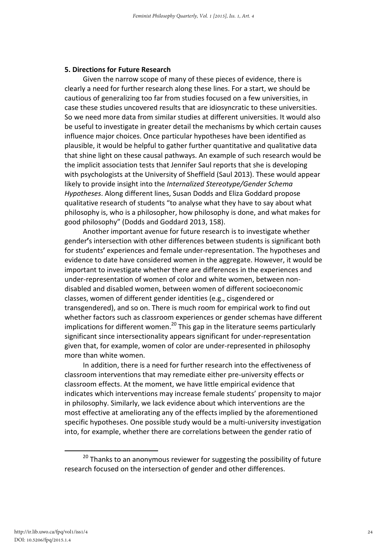#### 5. Directions for Future Research

Given the narrow scope of many of these pieces of evidence, there is clearly a need for further research along these lines. For a start, we should be cautious of generalizing too far from studies focused on a few universities, in case these studies uncovered results that are idiosyncratic to these universities. So we need more data from similar studies at different universities. It would also be useful to investigate in greater detail the mechanisms by which certain causes influence major choices. Once particular hypotheses have been identified as plausible, it would be helpful to gather further quantitative and qualitative data that shine light on these causal pathways. An example of such research would be the implicit association tests that Jennifer Saul reports that she is developing with psychologists at the University of Sheffield (Saul 2013). These would appear likely to provide insight into the Internalized Stereotype/Gender Schema Hypotheses. Along different lines, Susan Dodds and Eliza Goddard propose qualitative research of students "to analyse what they have to say about what philosophy is, who is a philosopher, how philosophy is done, and what makes for good philosophy" (Dodds and Goddard 2013, 158).

Another important avenue for future research is to investigate whether gender's intersection with other differences between students is significant both for students' experiences and female under-representation. The hypotheses and evidence to date have considered women in the aggregate. However, it would be important to investigate whether there are differences in the experiences and under-representation of women of color and white women, between nondisabled and disabled women, between women of different socioeconomic classes, women of different gender identities (e.g., cisgendered or transgendered), and so on. There is much room for empirical work to find out whether factors such as classroom experiences or gender schemas have different implications for different women.<sup>20</sup> This gap in the literature seems particularly significant since intersectionality appears significant for under-representation given that, for example, women of color are under-represented in philosophy more than white women.

In addition, there is a need for further research into the effectiveness of classroom interventions that may remediate either pre-university effects or classroom effects. At the moment, we have little empirical evidence that indicates which interventions may increase female students' propensity to major in philosophy. Similarly, we lack evidence about which interventions are the most effective at ameliorating any of the effects implied by the aforementioned specific hypotheses. One possible study would be a multi-university investigation into, for example, whether there are correlations between the gender ratio of

 $20$  Thanks to an anonymous reviewer for suggesting the possibility of future research focused on the intersection of gender and other differences.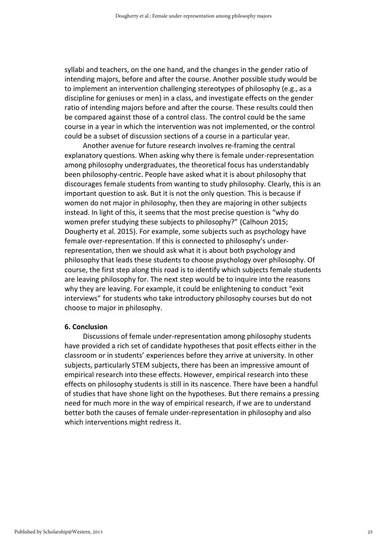syllabi and teachers, on the one hand, and the changes in the gender ratio of intending majors, before and after the course. Another possible study would be to implement an intervention challenging stereotypes of philosophy (e.g., as a discipline for geniuses or men) in a class, and investigate effects on the gender ratio of intending majors before and after the course. These results could then be compared against those of a control class. The control could be the same course in a year in which the intervention was not implemented, or the control could be a subset of discussion sections of a course in a particular year.

Another avenue for future research involves re-framing the central explanatory questions. When asking why there is female under-representation among philosophy undergraduates, the theoretical focus has understandably been philosophy-centric. People have asked what it is about philosophy that discourages female students from wanting to study philosophy. Clearly, this is an important question to ask. But it is not the only question. This is because if women do not major in philosophy, then they are majoring in other subjects instead. In light of this, it seems that the most precise question is "why do women prefer studying these subjects to philosophy?" (Calhoun 2015; Dougherty et al. 2015). For example, some subjects such as psychology have female over-representation. If this is connected to philosophy's underrepresentation, then we should ask what it is about both psychology and philosophy that leads these students to choose psychology over philosophy. Of course, the first step along this road is to identify which subjects female students are leaving philosophy for. The next step would be to inquire into the reasons why they are leaving. For example, it could be enlightening to conduct "exit interviews" for students who take introductory philosophy courses but do not choose to major in philosophy.

#### 6. Conclusion

Discussions of female under-representation among philosophy students have provided a rich set of candidate hypotheses that posit effects either in the classroom or in students' experiences before they arrive at university. In other subjects, particularly STEM subjects, there has been an impressive amount of empirical research into these effects. However, empirical research into these effects on philosophy students is still in its nascence. There have been a handful of studies that have shone light on the hypotheses. But there remains a pressing need for much more in the way of empirical research, if we are to understand better both the causes of female under-representation in philosophy and also which interventions might redress it.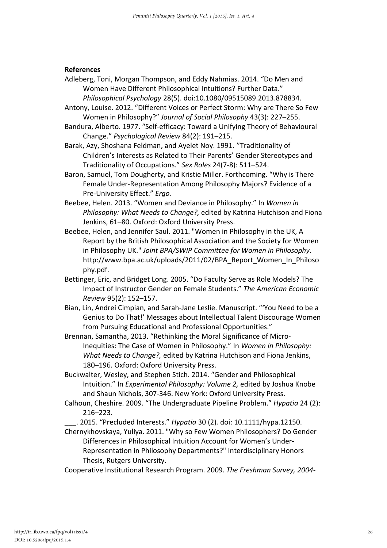#### References

- Adleberg, Toni, Morgan Thompson, and Eddy Nahmias. 2014. "Do Men and Women Have Different Philosophical Intuitions? Further Data." Philosophical Psychology 28(5). doi:10.1080/09515089.2013.878834.
- Antony, Louise. 2012. "Different Voices or Perfect Storm: Why are There So Few Women in Philosophy?" Journal of Social Philosophy 43(3): 227–255.
- Bandura, Alberto. 1977. "Self-efficacy: Toward a Unifying Theory of Behavioural Change." Psychological Review 84(2): 191–215.

Barak, Azy, Shoshana Feldman, and Ayelet Noy. 1991. "Traditionality of Children's Interests as Related to Their Parents' Gender Stereotypes and Traditionality of Occupations." Sex Roles 24(7-8): 511–524.

- Baron, Samuel, Tom Dougherty, and Kristie Miller. Forthcoming. "Why is There Female Under-Representation Among Philosophy Majors? Evidence of a Pre-University Effect." Ergo.
- Beebee, Helen. 2013. "Women and Deviance in Philosophy." In Women in Philosophy: What Needs to Change?, edited by Katrina Hutchison and Fiona Jenkins, 61–80. Oxford: Oxford University Press.
- Beebee, Helen, and Jennifer Saul. 2011. "Women in Philosophy in the UK, A Report by the British Philosophical Association and the Society for Women in Philosophy UK." Joint BPA/SWIP Committee for Women in Philosophy. http://www.bpa.ac.uk/uploads/2011/02/BPA\_Report\_Women\_In\_Philoso phy.pdf.
- Bettinger, Eric, and Bridget Long. 2005. "Do Faculty Serve as Role Models? The Impact of Instructor Gender on Female Students." The American Economic Review 95(2): 152–157.
- Bian, Lin, Andrei Cimpian, and Sarah-Jane Leslie. Manuscript. "'You Need to be a Genius to Do That!' Messages about Intellectual Talent Discourage Women from Pursuing Educational and Professional Opportunities."
- Brennan, Samantha, 2013. "Rethinking the Moral Significance of Micro-Inequities: The Case of Women in Philosophy." In Women in Philosophy: What Needs to Change?, edited by Katrina Hutchison and Fiona Jenkins, 180–196. Oxford: Oxford University Press.

Buckwalter, Wesley, and Stephen Stich. 2014. "Gender and Philosophical Intuition." In Experimental Philosophy: Volume 2, edited by Joshua Knobe and Shaun Nichols, 307-346. New York: Oxford University Press.

Calhoun, Cheshire. 2009. "The Undergraduate Pipeline Problem." Hypatia 24 (2): 216–223.

\_\_\_. 2015. "Precluded Interests." Hypatia 30 (2). doi: 10.1111/hypa.12150.

- Chernykhovskaya, Yuliya. 2011. "Why so Few Women Philosophers? Do Gender Differences in Philosophical Intuition Account for Women's Under-Representation in Philosophy Departments?" Interdisciplinary Honors Thesis, Rutgers University.
- Cooperative Institutional Research Program. 2009. The Freshman Survey, 2004-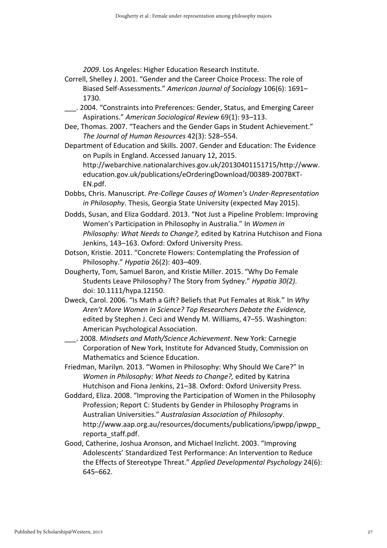2009. Los Angeles: Higher Education Research Institute.

Correll, Shelley J. 2001. "Gender and the Career Choice Process: The role of Biased Self-Assessments." American Journal of Sociology 106(6): 1691– 1730.

- \_\_\_. 2004. "Constraints into Preferences: Gender, Status, and Emerging Career Aspirations." American Sociological Review 69(1): 93–113.
- Dee, Thomas. 2007. "Teachers and the Gender Gaps in Student Achievement." The Journal of Human Resources 42(3): 528–554.
- Department of Education and Skills. 2007. Gender and Education: The Evidence on Pupils in England. Accessed January 12, 2015. http://webarchive.nationalarchives.gov.uk/20130401151715/http://www. education.gov.uk/publications/eOrderingDownload/00389-2007BKT-EN.pdf.
- Dobbs, Chris. Manuscript. Pre-College Causes of Women's Under-Representation in Philosophy. Thesis, Georgia State University (expected May 2015).
- Dodds, Susan, and Eliza Goddard. 2013. "Not Just a Pipeline Problem: Improving Women's Participation in Philosophy in Australia." In Women in Philosophy: What Needs to Change?, edited by Katrina Hutchison and Fiona Jenkins, 143–163. Oxford: Oxford University Press.
- Dotson, Kristie. 2011. "Concrete Flowers: Contemplating the Profession of Philosophy." Hypatia 26(2): 403–409.
- Dougherty, Tom, Samuel Baron, and Kristie Miller. 2015. "Why Do Female Students Leave Philosophy? The Story from Sydney." Hypatia 30(2). doi: 10.1111/hypa.12150.
- Dweck, Carol. 2006. "Is Math a Gift? Beliefs that Put Females at Risk." In Why Aren't More Women in Science? Top Researchers Debate the Evidence, edited by Stephen J. Ceci and Wendy M. Williams, 47–55. Washington: American Psychological Association.
- \_\_\_. 2008. Mindsets and Math/Science Achievement. New York: Carnegie Corporation of New York, Institute for Advanced Study, Commission on Mathematics and Science Education.
- Friedman, Marilyn. 2013. "Women in Philosophy: Why Should We Care?" In Women in Philosophy: What Needs to Change?, edited by Katrina Hutchison and Fiona Jenkins, 21–38. Oxford: Oxford University Press.
- Goddard, Eliza. 2008. "Improving the Participation of Women in the Philosophy Profession; Report C: Students by Gender in Philosophy Programs in Australian Universities." Australasian Association of Philosophy. http://www.aap.org.au/resources/documents/publications/ipwpp/ipwpp\_ reporta\_staff.pdf.
- Good, Catherine, Joshua Aronson, and Michael Inzlicht. 2003. "Improving Adolescents' Standardized Test Performance: An Intervention to Reduce the Effects of Stereotype Threat." Applied Developmental Psychology 24(6): 645–662.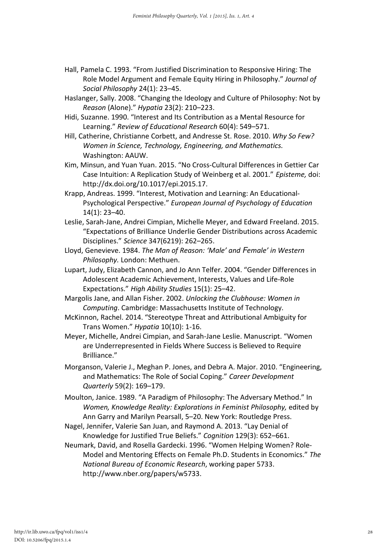- Hall, Pamela C. 1993. "From Justified Discrimination to Responsive Hiring: The Role Model Argument and Female Equity Hiring in Philosophy." Journal of Social Philosophy 24(1): 23–45.
- Haslanger, Sally. 2008. "Changing the Ideology and Culture of Philosophy: Not by Reason (Alone)." Hypatia 23(2): 210–223.
- Hidi, Suzanne. 1990. "Interest and Its Contribution as a Mental Resource for Learning." Review of Educational Research 60(4): 549–571.
- Hill, Catherine, Christianne Corbett, and Andresse St. Rose. 2010. Why So Few? Women in Science, Technology, Engineering, and Mathematics. Washington: AAUW.
- Kim, Minsun, and Yuan Yuan. 2015. "No Cross-Cultural Differences in Gettier Car Case Intuition: A Replication Study of Weinberg et al. 2001." Episteme, doi: http://dx.doi.org/10.1017/epi.2015.17.
- Krapp, Andreas. 1999. "Interest, Motivation and Learning: An Educational-Psychological Perspective." European Journal of Psychology of Education 14(1): 23–40.
- Leslie, Sarah-Jane, Andrei Cimpian, Michelle Meyer, and Edward Freeland. 2015. "Expectations of Brilliance Underlie Gender Distributions across Academic Disciplines." Science 347(6219): 262–265.
- Lloyd, Genevieve. 1984. The Man of Reason: 'Male' and Female' in Western Philosophy. London: Methuen.
- Lupart, Judy, Elizabeth Cannon, and Jo Ann Telfer. 2004. "Gender Differences in Adolescent Academic Achievement, Interests, Values and Life-Role Expectations." High Ability Studies 15(1): 25–42.
- Margolis Jane, and Allan Fisher. 2002. Unlocking the Clubhouse: Women in Computing. Cambridge: Massachusetts Institute of Technology.
- McKinnon, Rachel. 2014. "Stereotype Threat and Attributional Ambiguity for Trans Women." Hypatia 10(10): 1-16.
- Meyer, Michelle, Andrei Cimpian, and Sarah-Jane Leslie. Manuscript. "Women are Underrepresented in Fields Where Success is Believed to Require Brilliance."
- Morganson, Valerie J., Meghan P. Jones, and Debra A. Major. 2010. "Engineering, and Mathematics: The Role of Social Coping." Career Development Quarterly 59(2): 169–179.
- Moulton, Janice. 1989. "A Paradigm of Philosophy: The Adversary Method." In Women, Knowledge Reality: Explorations in Feminist Philosophy, edited by Ann Garry and Marilyn Pearsall, 5–20. New York: Routledge Press.
- Nagel, Jennifer, Valerie San Juan, and Raymond A. 2013. "Lay Denial of Knowledge for Justified True Beliefs." Cognition 129(3): 652–661.
- Neumark, David, and Rosella Gardecki. 1996. "Women Helping Women? Role-Model and Mentoring Effects on Female Ph.D. Students in Economics." The National Bureau of Economic Research, working paper 5733. http://www.nber.org/papers/w5733.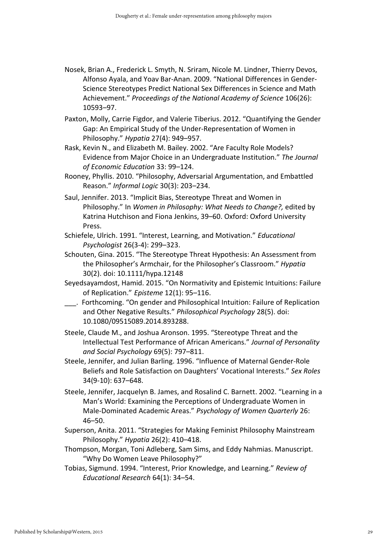- Nosek, Brian A., Frederick L. Smyth, N. Sriram, Nicole M. Lindner, Thierry Devos, Alfonso Ayala, and Yoav Bar-Anan. 2009. "National Differences in Gender-Science Stereotypes Predict National Sex Differences in Science and Math Achievement." Proceedings of the National Academy of Science 106(26): 10593–97.
- Paxton, Molly, Carrie Figdor, and Valerie Tiberius. 2012. "Quantifying the Gender Gap: An Empirical Study of the Under-Representation of Women in Philosophy." Hypatia 27(4): 949–957.
- Rask, Kevin N., and Elizabeth M. Bailey. 2002. "Are Faculty Role Models? Evidence from Major Choice in an Undergraduate Institution." The Journal of Economic Education 33: 99–124.
- Rooney, Phyllis. 2010. "Philosophy, Adversarial Argumentation, and Embattled Reason." Informal Logic 30(3): 203–234.
- Saul, Jennifer. 2013. "Implicit Bias, Stereotype Threat and Women in Philosophy." In Women in Philosophy: What Needs to Change?, edited by Katrina Hutchison and Fiona Jenkins, 39–60. Oxford: Oxford University Press.
- Schiefele, Ulrich. 1991. "Interest, Learning, and Motivation." Educational Psychologist 26(3-4): 299–323.
- Schouten, Gina. 2015. "The Stereotype Threat Hypothesis: An Assessment from the Philosopher's Armchair, for the Philosopher's Classroom." Hypatia 30(2). doi: 10.1111/hypa.12148
- Seyedsayamdost, Hamid. 2015. "On Normativity and Epistemic Intuitions: Failure of Replication." Episteme 12(1): 95–116.
- \_\_\_. Forthcoming. "On gender and Philosophical Intuition: Failure of Replication and Other Negative Results." Philosophical Psychology 28(5). doi: 10.1080/09515089.2014.893288.
- Steele, Claude M., and Joshua Aronson. 1995. "Stereotype Threat and the Intellectual Test Performance of African Americans." Journal of Personality and Social Psychology 69(5): 797–811.
- Steele, Jennifer, and Julian Barling. 1996. "Influence of Maternal Gender-Role Beliefs and Role Satisfaction on Daughters' Vocational Interests." Sex Roles 34(9-10): 637–648.
- Steele, Jennifer, Jacquelyn B. James, and Rosalind C. Barnett. 2002. "Learning in a Man's World: Examining the Perceptions of Undergraduate Women in Male-Dominated Academic Areas." Psychology of Women Quarterly 26: 46–50.
- Superson, Anita. 2011. "Strategies for Making Feminist Philosophy Mainstream Philosophy." Hypatia 26(2): 410–418.
- Thompson, Morgan, Toni Adleberg, Sam Sims, and Eddy Nahmias. Manuscript. "Why Do Women Leave Philosophy?"
- Tobias, Sigmund. 1994. "Interest, Prior Knowledge, and Learning." Review of Educational Research 64(1): 34–54.